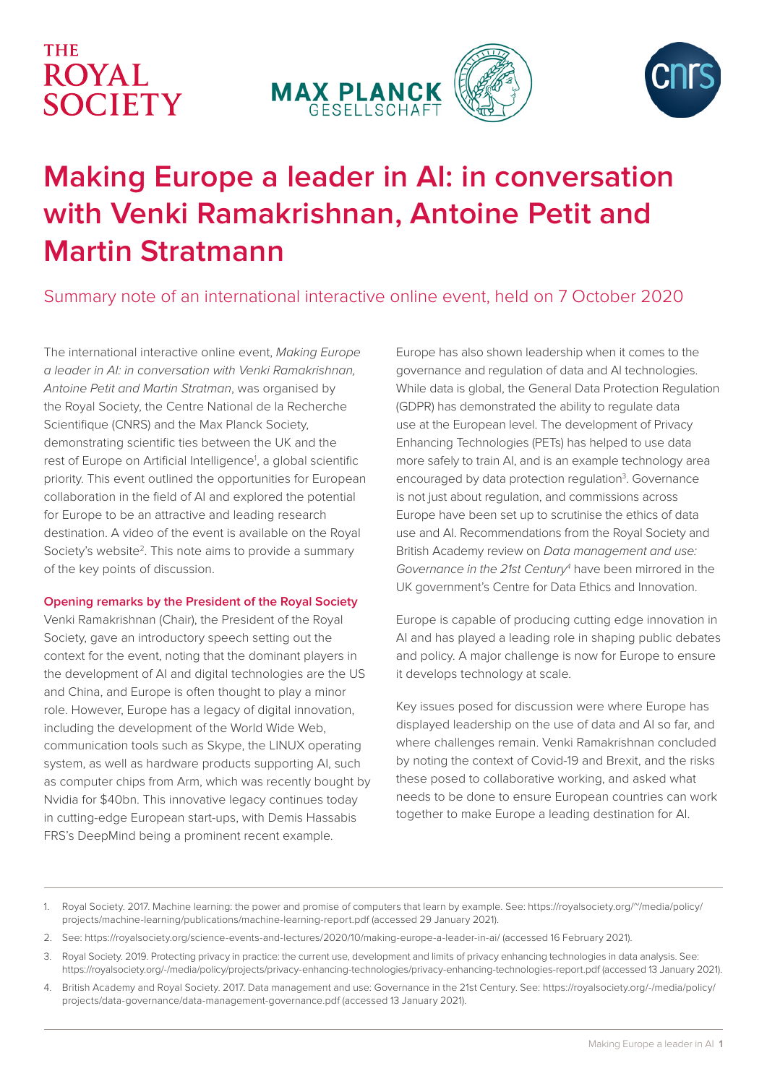# **THE ROYAL** SOCIETY





# **Making Europe a leader in AI: in conversation with Venki Ramakrishnan, Antoine Petit and Martin Stratmann**

# Summary note of an international interactive online event, held on 7 October 2020

The international interactive online event, *Making Europe a leader in AI: in conversation with Venki Ramakrishnan, Antoine Petit and Martin Stratman*, was organised by the Royal Society, the Centre National de la Recherche Scientifique (CNRS) and the Max Planck Society, demonstrating scientific ties between the UK and the rest of Europe on Artificial Intelligence<sup>1</sup>, a global scientific priority. This event outlined the opportunities for European collaboration in the field of AI and explored the potential for Europe to be an attractive and leading research destination. A video of the event is available on the Royal Society's website<sup>2</sup>. This note aims to provide a summary of the key points of discussion.

## **Opening remarks by the President of the Royal Society**

Venki Ramakrishnan (Chair), the President of the Royal Society, gave an introductory speech setting out the context for the event, noting that the dominant players in the development of AI and digital technologies are the US and China, and Europe is often thought to play a minor role. However, Europe has a legacy of digital innovation, including the development of the World Wide Web, communication tools such as Skype, the LINUX operating system, as well as hardware products supporting AI, such as computer chips from Arm, which was recently bought by Nvidia for \$40bn. This innovative legacy continues today in cutting-edge European start-ups, with Demis Hassabis FRS's DeepMind being a prominent recent example.

Europe has also shown leadership when it comes to the governance and regulation of data and AI technologies. While data is global, the General Data Protection Regulation (GDPR) has demonstrated the ability to regulate data use at the European level. The development of Privacy Enhancing Technologies (PETs) has helped to use data more safely to train AI, and is an example technology area encouraged by data protection regulation<sup>3</sup>. Governance is not just about regulation, and commissions across Europe have been set up to scrutinise the ethics of data use and AI. Recommendations from the Royal Society and British Academy review on *Data management and use:*  Governance in the 21st Century<sup>4</sup> have been mirrored in the UK government's Centre for Data Ethics and Innovation.

Europe is capable of producing cutting edge innovation in AI and has played a leading role in shaping public debates and policy. A major challenge is now for Europe to ensure it develops technology at scale.

Key issues posed for discussion were where Europe has displayed leadership on the use of data and AI so far, and where challenges remain. Venki Ramakrishnan concluded by noting the context of Covid-19 and Brexit, and the risks these posed to collaborative working, and asked what needs to be done to ensure European countries can work together to make Europe a leading destination for AI.

- 1. Royal Society. 2017. Machine learning: the power and promise of computers that learn by example. See: https://royalsociety.org/~/media/policy/ projects/machine-learning/publications/machine-learning-report.pdf (accessed 29 January 2021).
- 2. See: https://royalsociety.org/science-events-and-lectures/2020/10/making-europe-a-leader-in-ai/ (accessed 16 February 2021).
- 3. Royal Society. 2019. Protecting privacy in practice: the current use, development and limits of privacy enhancing technologies in data analysis. See: https://royalsociety.org/-/media/policy/projects/privacy-enhancing-technologies/privacy-enhancing-technologies-report.pdf (accessed 13 January 2021).
- 4. British Academy and Royal Society. 2017. Data management and use: Governance in the 21st Century. See: https://royalsociety.org/-/media/policy/ projects/data-governance/data-management-governance.pdf (accessed 13 January 2021).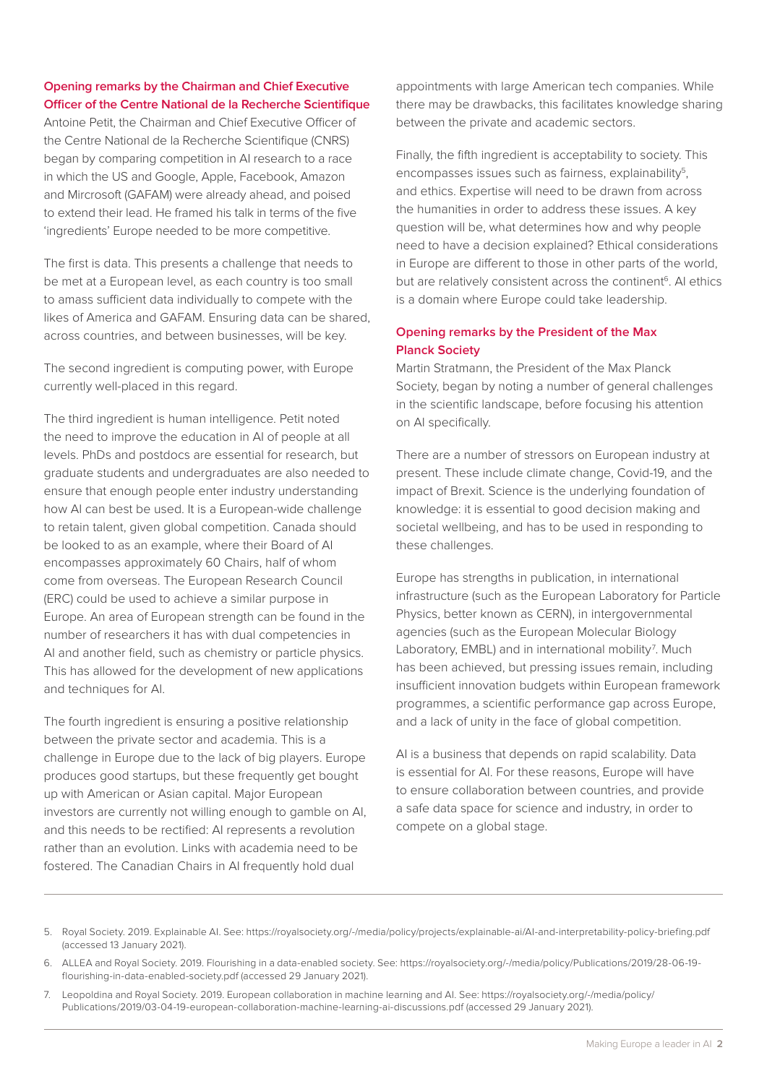# **Opening remarks by the Chairman and Chief Executive Officer of the Centre National de la Recherche Scientifique**

Antoine Petit, the Chairman and Chief Executive Officer of the Centre National de la Recherche Scientifique (CNRS) began by comparing competition in AI research to a race in which the US and Google, Apple, Facebook, Amazon and Mircrosoft (GAFAM) were already ahead, and poised to extend their lead. He framed his talk in terms of the five 'ingredients' Europe needed to be more competitive.

The first is data. This presents a challenge that needs to be met at a European level, as each country is too small to amass sufficient data individually to compete with the likes of America and GAFAM. Ensuring data can be shared, across countries, and between businesses, will be key.

The second ingredient is computing power, with Europe currently well-placed in this regard.

The third ingredient is human intelligence. Petit noted the need to improve the education in AI of people at all levels. PhDs and postdocs are essential for research, but graduate students and undergraduates are also needed to ensure that enough people enter industry understanding how AI can best be used. It is a European-wide challenge to retain talent, given global competition. Canada should be looked to as an example, where their Board of AI encompasses approximately 60 Chairs, half of whom come from overseas. The European Research Council (ERC) could be used to achieve a similar purpose in Europe. An area of European strength can be found in the number of researchers it has with dual competencies in AI and another field, such as chemistry or particle physics. This has allowed for the development of new applications and techniques for AI.

The fourth ingredient is ensuring a positive relationship between the private sector and academia. This is a challenge in Europe due to the lack of big players. Europe produces good startups, but these frequently get bought up with American or Asian capital. Major European investors are currently not willing enough to gamble on AI, and this needs to be rectified: AI represents a revolution rather than an evolution. Links with academia need to be fostered. The Canadian Chairs in AI frequently hold dual

appointments with large American tech companies. While there may be drawbacks, this facilitates knowledge sharing between the private and academic sectors.

Finally, the fifth ingredient is acceptability to society. This encompasses issues such as fairness, explainability $5$ , and ethics. Expertise will need to be drawn from across the humanities in order to address these issues. A key question will be, what determines how and why people need to have a decision explained? Ethical considerations in Europe are different to those in other parts of the world, but are relatively consistent across the continent<sup>6</sup>. Al ethics is a domain where Europe could take leadership.

# **Opening remarks by the President of the Max Planck Society**

Martin Stratmann, the President of the Max Planck Society, began by noting a number of general challenges in the scientific landscape, before focusing his attention on AI specifically.

There are a number of stressors on European industry at present. These include climate change, Covid-19, and the impact of Brexit. Science is the underlying foundation of knowledge: it is essential to good decision making and societal wellbeing, and has to be used in responding to these challenges.

Europe has strengths in publication, in international infrastructure (such as the European Laboratory for Particle Physics, better known as CERN), in intergovernmental agencies (such as the European Molecular Biology Laboratory, EMBL) and in international mobility<sup>7</sup>. Much has been achieved, but pressing issues remain, including insufficient innovation budgets within European framework programmes, a scientific performance gap across Europe, and a lack of unity in the face of global competition.

AI is a business that depends on rapid scalability. Data is essential for AI. For these reasons, Europe will have to ensure collaboration between countries, and provide a safe data space for science and industry, in order to compete on a global stage.

- 5. Royal Society. 2019. Explainable AI. See: https://royalsociety.org/-/media/policy/projects/explainable-ai/AI-and-interpretability-policy-briefing.pdf (accessed 13 January 2021).
- 6. ALLEA and Royal Society. 2019. Flourishing in a data-enabled society. See: https://royalsociety.org/-/media/policy/Publications/2019/28-06-19 flourishing-in-data-enabled-society.pdf (accessed 29 January 2021).
- 7. Leopoldina and Royal Society. 2019. European collaboration in machine learning and AI. See: https://royalsociety.org/-/media/policy/ Publications/2019/03-04-19-european-collaboration-machine-learning-ai-discussions.pdf (accessed 29 January 2021).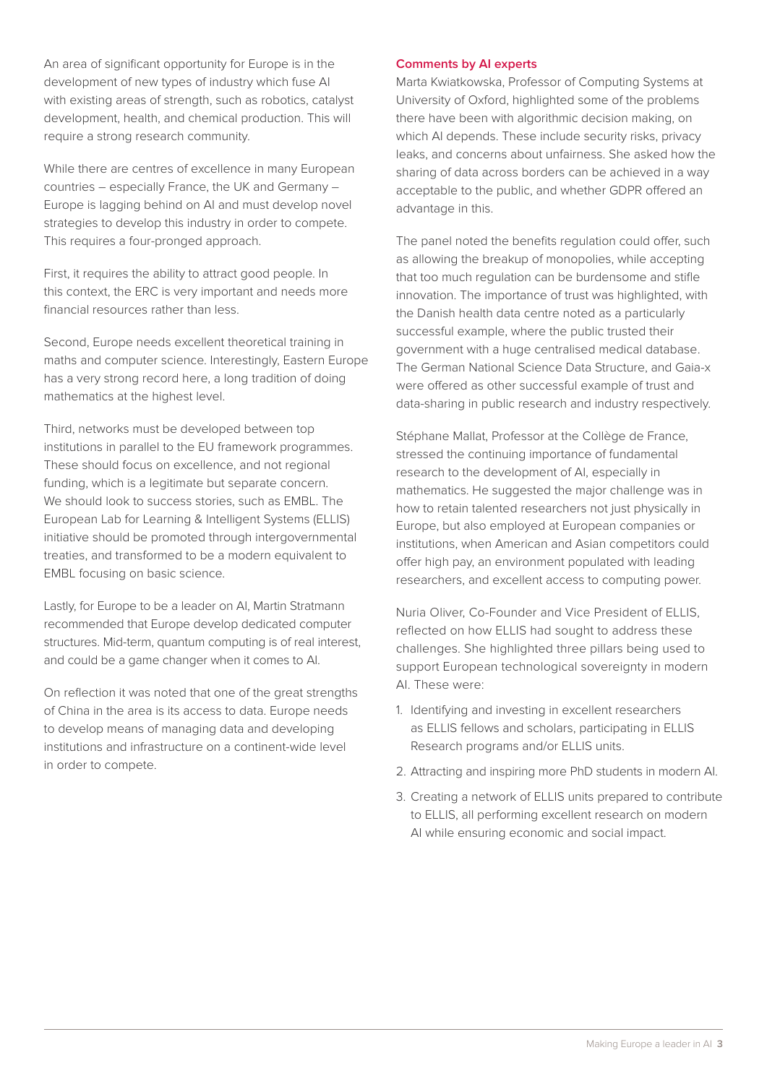An area of significant opportunity for Europe is in the development of new types of industry which fuse AI with existing areas of strength, such as robotics, catalyst development, health, and chemical production. This will require a strong research community.

While there are centres of excellence in many European countries – especially France, the UK and Germany – Europe is lagging behind on AI and must develop novel strategies to develop this industry in order to compete. This requires a four-pronged approach.

First, it requires the ability to attract good people. In this context, the ERC is very important and needs more financial resources rather than less.

Second, Europe needs excellent theoretical training in maths and computer science. Interestingly, Eastern Europe has a very strong record here, a long tradition of doing mathematics at the highest level.

Third, networks must be developed between top institutions in parallel to the EU framework programmes. These should focus on excellence, and not regional funding, which is a legitimate but separate concern. We should look to success stories, such as EMBL. The European Lab for Learning & Intelligent Systems (ELLIS) initiative should be promoted through intergovernmental treaties, and transformed to be a modern equivalent to EMBL focusing on basic science.

Lastly, for Europe to be a leader on AI, Martin Stratmann recommended that Europe develop dedicated computer structures. Mid-term, quantum computing is of real interest, and could be a game changer when it comes to AI.

On reflection it was noted that one of the great strengths of China in the area is its access to data. Europe needs to develop means of managing data and developing institutions and infrastructure on a continent-wide level in order to compete.

### **Comments by AI experts**

Marta Kwiatkowska, Professor of Computing Systems at University of Oxford, highlighted some of the problems there have been with algorithmic decision making, on which AI depends. These include security risks, privacy leaks, and concerns about unfairness. She asked how the sharing of data across borders can be achieved in a way acceptable to the public, and whether GDPR offered an advantage in this.

The panel noted the benefits regulation could offer, such as allowing the breakup of monopolies, while accepting that too much regulation can be burdensome and stifle innovation. The importance of trust was highlighted, with the Danish health data centre noted as a particularly successful example, where the public trusted their government with a huge centralised medical database. The German National Science Data Structure, and Gaia-x were offered as other successful example of trust and data-sharing in public research and industry respectively.

Stéphane Mallat, Professor at the Collège de France, stressed the continuing importance of fundamental research to the development of AI, especially in mathematics. He suggested the major challenge was in how to retain talented researchers not just physically in Europe, but also employed at European companies or institutions, when American and Asian competitors could offer high pay, an environment populated with leading researchers, and excellent access to computing power.

Nuria Oliver, Co-Founder and Vice President of ELLIS, reflected on how ELLIS had sought to address these challenges. She highlighted three pillars being used to support European technological sovereignty in modern AI. These were:

- 1. Identifying and investing in excellent researchers as ELLIS fellows and scholars, participating in ELLIS Research programs and/or ELLIS units.
- 2. Attracting and inspiring more PhD students in modern AI.
- 3. Creating a network of ELLIS units prepared to contribute to ELLIS, all performing excellent research on modern AI while ensuring economic and social impact.